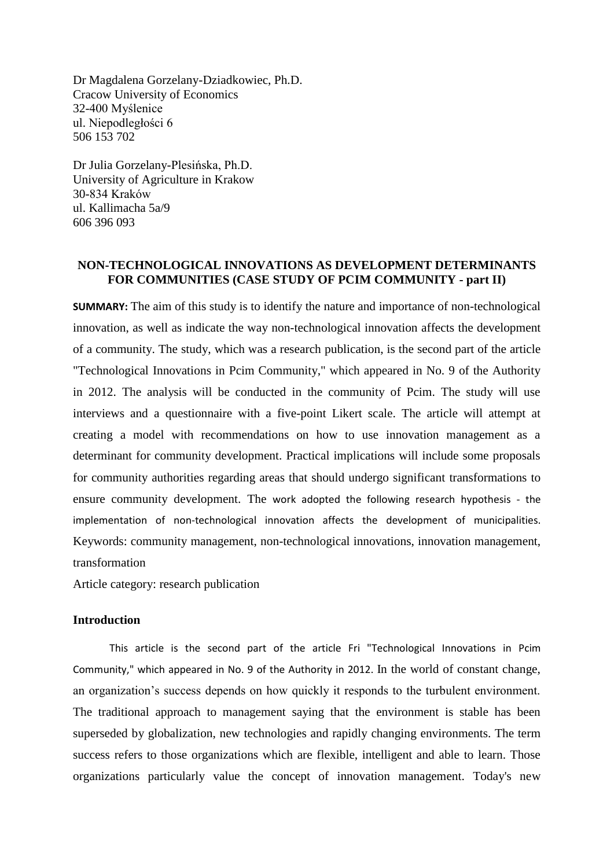Dr Magdalena Gorzelany-Dziadkowiec, Ph.D. Cracow University of Economics 32-400 Myślenice ul. Niepodległości 6 506 153 702

Dr Julia Gorzelany-Plesińska, Ph.D. University of Agriculture in Krakow 30-834 Kraków ul. Kallimacha 5a/9 606 396 093

## **NON-TECHNOLOGICAL INNOVATIONS AS DEVELOPMENT DETERMINANTS FOR COMMUNITIES (CASE STUDY OF PCIM COMMUNITY - part II)**

**SUMMARY:** The aim of this study is to identify the nature and importance of non-technological innovation, as well as indicate the way non-technological innovation affects the development of a community. The study, which was a research publication, is the second part of the article "Technological Innovations in Pcim Community," which appeared in No. 9 of the Authority in 2012. The analysis will be conducted in the community of Pcim. The study will use interviews and a questionnaire with a five-point Likert scale. The article will attempt at creating a model with recommendations on how to use innovation management as a determinant for community development. Practical implications will include some proposals for community authorities regarding areas that should undergo significant transformations to ensure community development. The work adopted the following research hypothesis - the implementation of non-technological innovation affects the development of municipalities. Keywords: community management, non-technological innovations, innovation management, transformation

Article category: research publication

### **Introduction**

This article is the second part of the article Fri "Technological Innovations in Pcim Community," which appeared in No. 9 of the Authority in 2012. In the world of constant change, an organization's success depends on how quickly it responds to the turbulent environment. The traditional approach to management saying that the environment is stable has been superseded by globalization, new technologies and rapidly changing environments. The term success refers to those organizations which are flexible, intelligent and able to learn. Those organizations particularly value the concept of innovation management. Today's new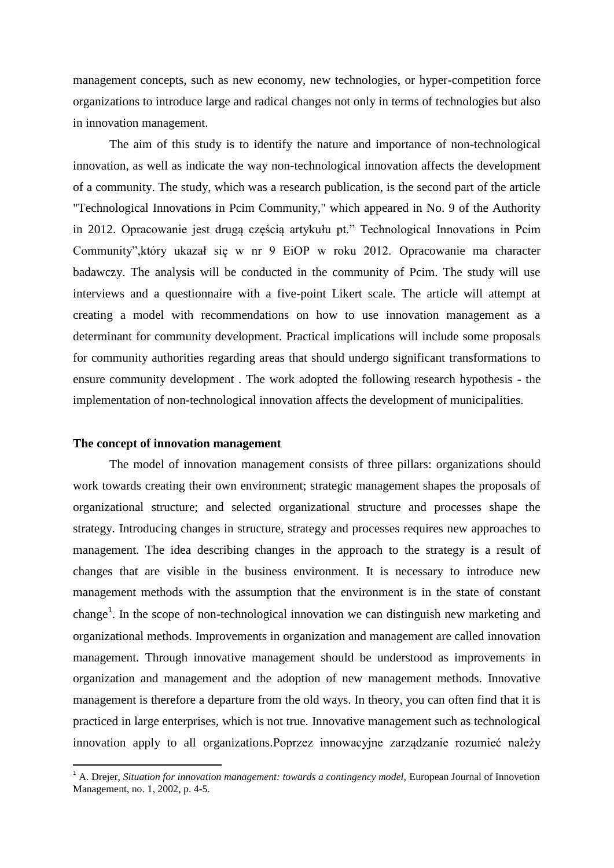management concepts, such as new economy, new technologies, or hyper-competition force organizations to introduce large and radical changes not only in terms of technologies but also in innovation management.

The aim of this study is to identify the nature and importance of non-technological innovation, as well as indicate the way non-technological innovation affects the development of a community. The study, which was a research publication, is the second part of the article "Technological Innovations in Pcim Community," which appeared in No. 9 of the Authority in 2012. Opracowanie jest drugą częścią artykułu pt." Technological Innovations in Pcim Community",który ukazał się w nr 9 EiOP w roku 2012. Opracowanie ma character badawczy. The analysis will be conducted in the community of Pcim. The study will use interviews and a questionnaire with a five-point Likert scale. The article will attempt at creating a model with recommendations on how to use innovation management as a determinant for community development. Practical implications will include some proposals for community authorities regarding areas that should undergo significant transformations to ensure community development . The work adopted the following research hypothesis - the implementation of non-technological innovation affects the development of municipalities.

#### **The concept of innovation management**

1

The model of innovation management consists of three pillars: organizations should work towards creating their own environment; strategic management shapes the proposals of organizational structure; and selected organizational structure and processes shape the strategy. Introducing changes in structure, strategy and processes requires new approaches to management. The idea describing changes in the approach to the strategy is a result of changes that are visible in the business environment. It is necessary to introduce new management methods with the assumption that the environment is in the state of constant change<sup>1</sup>. In the scope of non-technological innovation we can distinguish new marketing and organizational methods. Improvements in organization and management are called innovation management. Through innovative management should be understood as improvements in organization and management and the adoption of new management methods. Innovative management is therefore a departure from the old ways. In theory, you can often find that it is practiced in large enterprises, which is not true. Innovative management such as technological innovation apply to all organizations.Poprzez innowacyjne zarządzanie rozumieć należy

<sup>&</sup>lt;sup>1</sup> A. Drejer, *Situation for innovation management: towards a contingency model*, European Journal of Innovetion Management, no. 1, 2002, p. 4-5.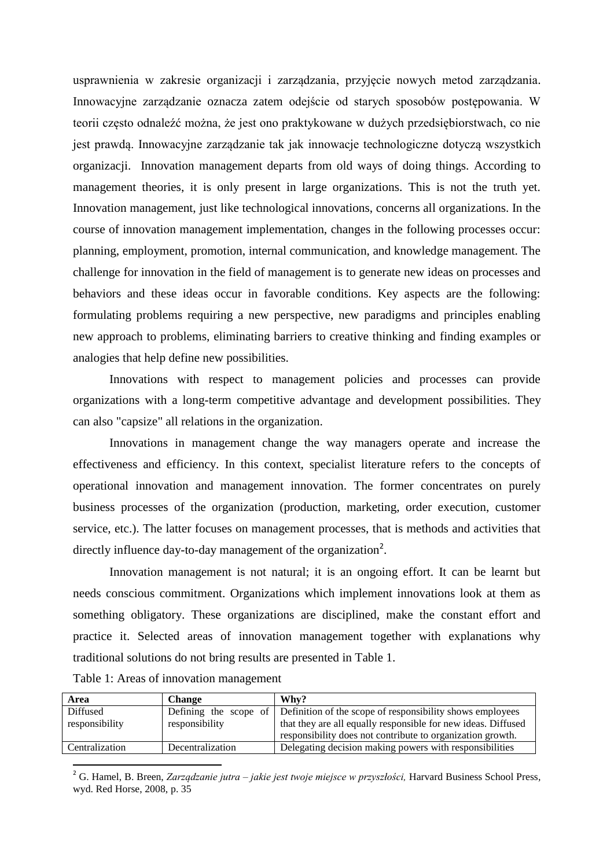usprawnienia w zakresie organizacji i zarządzania, przyjęcie nowych metod zarządzania. Innowacyjne zarządzanie oznacza zatem odejście od starych sposobów postępowania. W teorii często odnaleźć można, że jest ono praktykowane w dużych przedsiębiorstwach, co nie jest prawdą. Innowacyjne zarządzanie tak jak innowacje technologiczne dotyczą wszystkich organizacji. Innovation management departs from old ways of doing things. According to management theories, it is only present in large organizations. This is not the truth yet. Innovation management, just like technological innovations, concerns all organizations. In the course of innovation management implementation, changes in the following processes occur: planning, employment, promotion, internal communication, and knowledge management. The challenge for innovation in the field of management is to generate new ideas on processes and behaviors and these ideas occur in favorable conditions. Key aspects are the following: formulating problems requiring a new perspective, new paradigms and principles enabling new approach to problems, eliminating barriers to creative thinking and finding examples or analogies that help define new possibilities.

Innovations with respect to management policies and processes can provide organizations with a long-term competitive advantage and development possibilities. They can also "capsize" all relations in the organization.

Innovations in management change the way managers operate and increase the effectiveness and efficiency. In this context, specialist literature refers to the concepts of operational innovation and management innovation. The former concentrates on purely business processes of the organization (production, marketing, order execution, customer service, etc.). The latter focuses on management processes, that is methods and activities that directly influence day-to-day management of the organization<sup>2</sup>.

Innovation management is not natural; it is an ongoing effort. It can be learnt but needs conscious commitment. Organizations which implement innovations look at them as something obligatory. These organizations are disciplined, make the constant effort and practice it. Selected areas of innovation management together with explanations why traditional solutions do not bring results are presented in Table 1.

| Table 1: Areas of innovation management |  |  |  |  |  |  |
|-----------------------------------------|--|--|--|--|--|--|
|-----------------------------------------|--|--|--|--|--|--|

1

| Area           | <b>Change</b>    | Why?                                                                                                                        |  |  |
|----------------|------------------|-----------------------------------------------------------------------------------------------------------------------------|--|--|
| Diffused       |                  | Defining the scope of Definition of the scope of responsibility shows employees                                             |  |  |
| responsibility | responsibility   | that they are all equally responsible for new ideas. Diffused<br>responsibility does not contribute to organization growth. |  |  |
| Centralization | Decentralization | Delegating decision making powers with responsibilities                                                                     |  |  |

<sup>2</sup> G. Hamel, B. Breen, *Zarządzanie jutra – jakie jest twoje miejsce w przyszłości,* Harvard Business School Press*,*  wyd. Red Horse, 2008, p. 35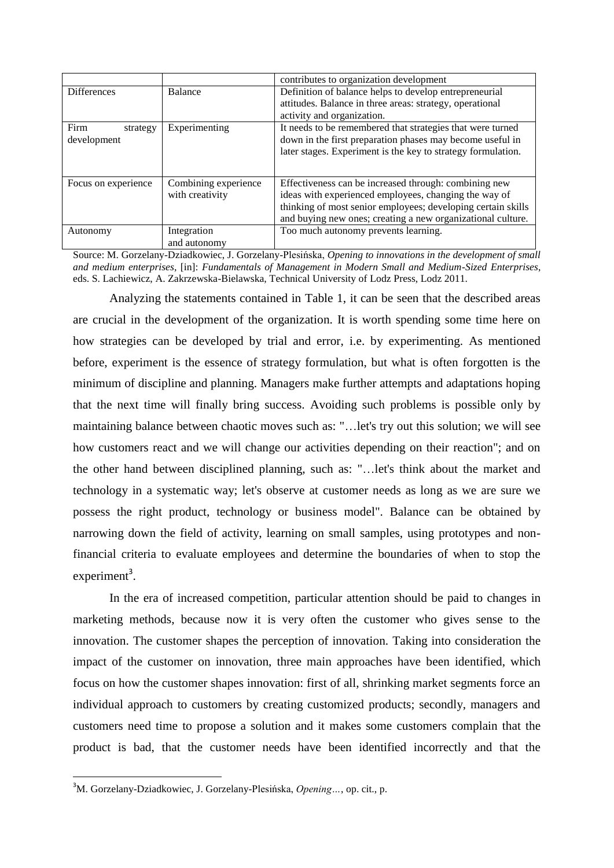|                     |                      | contributes to organization development                      |  |  |
|---------------------|----------------------|--------------------------------------------------------------|--|--|
| <b>Differences</b>  | <b>Balance</b>       | Definition of balance helps to develop entrepreneurial       |  |  |
|                     |                      | attitudes. Balance in three areas: strategy, operational     |  |  |
|                     |                      | activity and organization.                                   |  |  |
| Firm<br>strategy    | Experimenting        | It needs to be remembered that strategies that were turned   |  |  |
| development         |                      | down in the first preparation phases may become useful in    |  |  |
|                     |                      | later stages. Experiment is the key to strategy formulation. |  |  |
|                     |                      |                                                              |  |  |
| Focus on experience | Combining experience | Effectiveness can be increased through: combining new        |  |  |
|                     | with creativity      | ideas with experienced employees, changing the way of        |  |  |
|                     |                      | thinking of most senior employees; developing certain skills |  |  |
|                     |                      | and buying new ones; creating a new organizational culture.  |  |  |
| Autonomy            | Integration          | Too much autonomy prevents learning.                         |  |  |
|                     | and autonomy         |                                                              |  |  |

Source: M. Gorzelany-Dziadkowiec, J. Gorzelany-Plesińska, *Opening to innovations in the development of small and medium enterprises*, [in]: *Fundamentals of Management in Modern Small and Medium-Sized Enterprises*, eds. S. Lachiewicz, A. Zakrzewska-Bielawska, Technical University of Lodz Press, Lodz 2011.

Analyzing the statements contained in Table 1, it can be seen that the described areas are crucial in the development of the organization. It is worth spending some time here on how strategies can be developed by trial and error, i.e. by experimenting. As mentioned before, experiment is the essence of strategy formulation, but what is often forgotten is the minimum of discipline and planning. Managers make further attempts and adaptations hoping that the next time will finally bring success. Avoiding such problems is possible only by maintaining balance between chaotic moves such as: "…let's try out this solution; we will see how customers react and we will change our activities depending on their reaction"; and on the other hand between disciplined planning, such as: "…let's think about the market and technology in a systematic way; let's observe at customer needs as long as we are sure we possess the right product, technology or business model". Balance can be obtained by narrowing down the field of activity, learning on small samples, using prototypes and nonfinancial criteria to evaluate employees and determine the boundaries of when to stop the experiment<sup>3</sup>.

In the era of increased competition, particular attention should be paid to changes in marketing methods, because now it is very often the customer who gives sense to the innovation. The customer shapes the perception of innovation. Taking into consideration the impact of the customer on innovation, three main approaches have been identified, which focus on how the customer shapes innovation: first of all, shrinking market segments force an individual approach to customers by creating customized products; secondly, managers and customers need time to propose a solution and it makes some customers complain that the product is bad, that the customer needs have been identified incorrectly and that the

**.** 

<sup>3</sup>M. Gorzelany-Dziadkowiec, J. Gorzelany-Plesińska, *Opening…*, op. cit., p.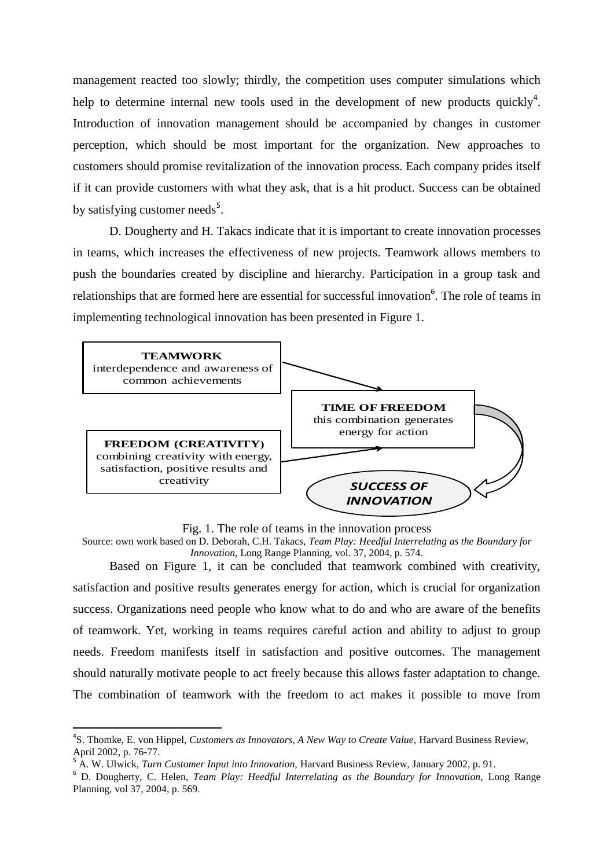management reacted too slowly; thirdly, the competition uses computer simulations which help to determine internal new tools used in the development of new products quickly<sup>4</sup>. Introduction of innovation management should be accompanied by changes in customer perception, which should be most important for the organization. New approaches to customers should promise revitalization of the innovation process. Each company prides itself if it can provide customers with what they ask, that is a hit product. Success can be obtained by satisfying customer needs<sup>5</sup>.

D. Dougherty and H. Takacs indicate that it is important to create innovation processes in teams, which increases the effectiveness of new projects. Teamwork allows members to push the boundaries created by discipline and hierarchy. Participation in a group task and relationships that are formed here are essential for successful innovation<sup>6</sup>. The role of teams in implementing technological innovation has been presented in Figure 1.



Fig. 1. The role of teams in the innovation process

Source: own work based on D. Deborah, C.H. Takacs, *Team Play: Heedful Interrelating as the Boundary for Innovation,* Long Range Planning, vol. 37, 2004, p. 574.

Based on Figure 1, it can be concluded that teamwork combined with creativity, satisfaction and positive results generates energy for action, which is crucial for organization success. Organizations need people who know what to do and who are aware of the benefits of teamwork. Yet, working in teams requires careful action and ability to adjust to group needs. Freedom manifests itself in satisfaction and positive outcomes. The management should naturally motivate people to act freely because this allows faster adaptation to change. The combination of teamwork with the freedom to act makes it possible to move from

 $\overline{a}$ 

<sup>&</sup>lt;sup>4</sup>S. Thomke, E. von Hippel, *Customers as Innovators, A New Way to Create Value*, Harvard Business Review, April 2002, p. 76-77.

<sup>&</sup>lt;sup>5</sup> A. W. Ulwick, *Turn Customer Input into Innovation*, Harvard Business Review, January 2002, p. 91.

<sup>6</sup> D. Dougherty, C. Helen, *Team Play: Heedful Interrelating as the Boundary for Innovation,* Long Range Planning, vol 37, 2004, p. 569.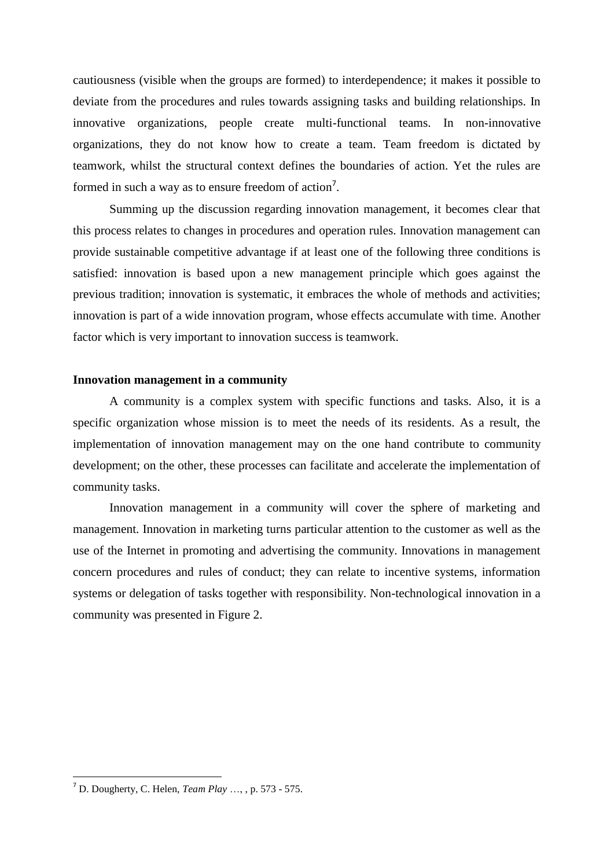cautiousness (visible when the groups are formed) to interdependence; it makes it possible to deviate from the procedures and rules towards assigning tasks and building relationships. In innovative organizations, people create multi-functional teams. In non-innovative organizations, they do not know how to create a team. Team freedom is dictated by teamwork, whilst the structural context defines the boundaries of action. Yet the rules are formed in such a way as to ensure freedom of action<sup>7</sup>.

Summing up the discussion regarding innovation management, it becomes clear that this process relates to changes in procedures and operation rules. Innovation management can provide sustainable competitive advantage if at least one of the following three conditions is satisfied: innovation is based upon a new management principle which goes against the previous tradition; innovation is systematic, it embraces the whole of methods and activities; innovation is part of a wide innovation program, whose effects accumulate with time. Another factor which is very important to innovation success is teamwork.

# **Innovation management in a community**

A community is a complex system with specific functions and tasks. Also, it is a specific organization whose mission is to meet the needs of its residents. As a result, the implementation of innovation management may on the one hand contribute to community development; on the other, these processes can facilitate and accelerate the implementation of community tasks.

Innovation management in a community will cover the sphere of marketing and management. Innovation in marketing turns particular attention to the customer as well as the use of the Internet in promoting and advertising the community. Innovations in management concern procedures and rules of conduct; they can relate to incentive systems, information systems or delegation of tasks together with responsibility. Non-technological innovation in a community was presented in Figure 2.

**.** 

<sup>7</sup> D. Dougherty, C. Helen, *Team Play* …, , p. 573 - 575.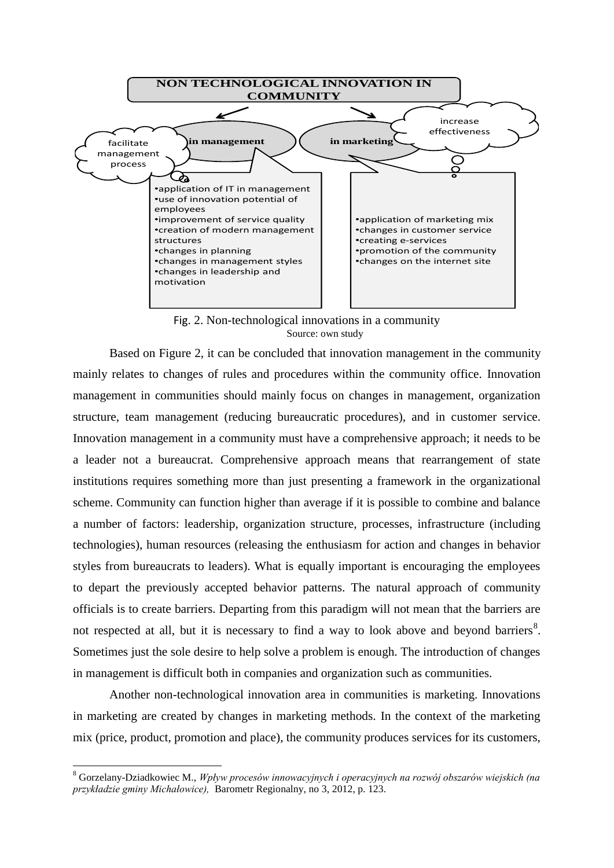

Fig. 2. Non-technological innovations in a community Source: own study

Based on Figure 2, it can be concluded that innovation management in the community mainly relates to changes of rules and procedures within the community office. Innovation management in communities should mainly focus on changes in management, organization structure, team management (reducing bureaucratic procedures), and in customer service. Innovation management in a community must have a comprehensive approach; it needs to be a leader not a bureaucrat. Comprehensive approach means that rearrangement of state institutions requires something more than just presenting a framework in the organizational scheme. Community can function higher than average if it is possible to combine and balance a number of factors: leadership, organization structure, processes, infrastructure (including technologies), human resources (releasing the enthusiasm for action and changes in behavior styles from bureaucrats to leaders). What is equally important is encouraging the employees to depart the previously accepted behavior patterns. The natural approach of community officials is to create barriers. Departing from this paradigm will not mean that the barriers are not respected at all, but it is necessary to find a way to look above and beyond barriers<sup>8</sup>. Sometimes just the sole desire to help solve a problem is enough. The introduction of changes in management is difficult both in companies and organization such as communities.

Another non-technological innovation area in communities is marketing. Innovations in marketing are created by changes in marketing methods. In the context of the marketing mix (price, product, promotion and place), the community produces services for its customers,

**.** 

<sup>8</sup> Gorzelany-Dziadkowiec M., *Wpływ procesów innowacyjnych i operacyjnych na rozwój obszarów wiejskich (na przykładzie gminy Michałowice),* Barometr Regionalny, no 3, 2012, p. 123.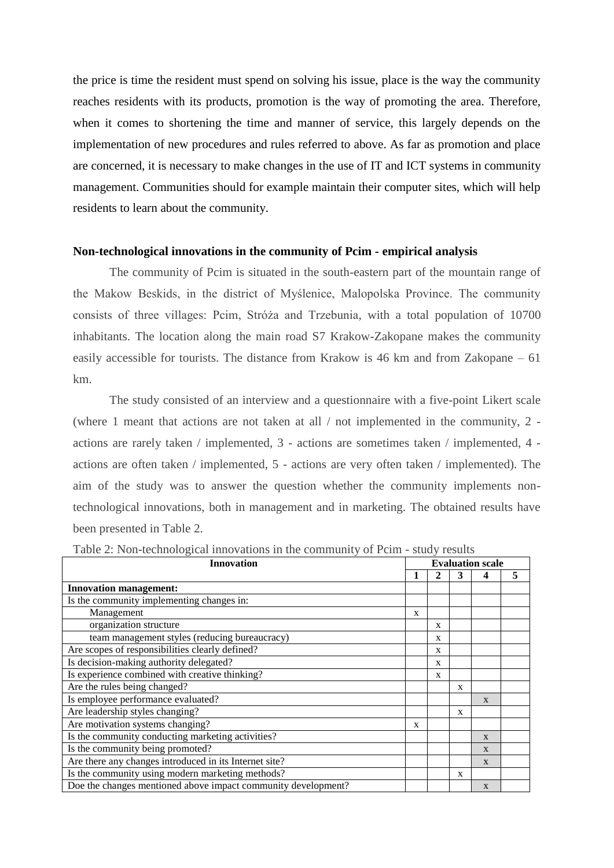the price is time the resident must spend on solving his issue, place is the way the community reaches residents with its products, promotion is the way of promoting the area. Therefore, when it comes to shortening the time and manner of service, this largely depends on the implementation of new procedures and rules referred to above. As far as promotion and place are concerned, it is necessary to make changes in the use of IT and ICT systems in community management. Communities should for example maintain their computer sites, which will help residents to learn about the community.

#### **Non-technological innovations in the community of Pcim - empirical analysis**

The community of Pcim is situated in the south-eastern part of the mountain range of the Makow Beskids, in the district of Myślenice, Malopolska Province. The community consists of three villages: Pcim, Stróża and Trzebunia, with a total population of 10700 inhabitants. The location along the main road S7 Krakow-Zakopane makes the community easily accessible for tourists. The distance from Krakow is 46 km and from Zakopane – 61 km.

The study consisted of an interview and a questionnaire with a five-point Likert scale (where 1 meant that actions are not taken at all / not implemented in the community, 2 actions are rarely taken / implemented, 3 - actions are sometimes taken / implemented, 4 actions are often taken / implemented, 5 - actions are very often taken / implemented). The aim of the study was to answer the question whether the community implements nontechnological innovations, both in management and in marketing. The obtained results have been presented in Table 2.

| <b>THE 2.</b> FOIL COMPOSION THRO VALIONS IN THE COMMUNITY OF FORM |   |                         |   |              |   |  |  |
|--------------------------------------------------------------------|---|-------------------------|---|--------------|---|--|--|
| <b>Innovation</b>                                                  |   | <b>Evaluation scale</b> |   |              |   |  |  |
|                                                                    | 1 | 2                       | 3 | 4            | 5 |  |  |
| <b>Innovation management:</b>                                      |   |                         |   |              |   |  |  |
| Is the community implementing changes in:                          |   |                         |   |              |   |  |  |
| Management                                                         | X |                         |   |              |   |  |  |
| organization structure                                             |   | X                       |   |              |   |  |  |
| team management styles (reducing bureaucracy)                      |   | X                       |   |              |   |  |  |
| Are scopes of responsibilities clearly defined?                    |   | X                       |   |              |   |  |  |
| Is decision-making authority delegated?                            |   | X                       |   |              |   |  |  |
| Is experience combined with creative thinking?                     |   | X                       |   |              |   |  |  |
| Are the rules being changed?                                       |   |                         | X |              |   |  |  |
| Is employee performance evaluated?                                 |   |                         |   | $\mathbf{x}$ |   |  |  |
| Are leadership styles changing?                                    |   |                         | X |              |   |  |  |
| Are motivation systems changing?                                   |   |                         |   |              |   |  |  |
| Is the community conducting marketing activities?                  |   |                         |   | $\mathbf{x}$ |   |  |  |
| Is the community being promoted?                                   |   |                         |   | X            |   |  |  |
| Are there any changes introduced in its Internet site?             |   |                         |   | $\mathbf{x}$ |   |  |  |
| Is the community using modern marketing methods?                   |   |                         | X |              |   |  |  |
| Doe the changes mentioned above impact community development?      |   |                         |   | $\mathbf{x}$ |   |  |  |

Table 2: Non-technological innovations in the community of Pcim - study results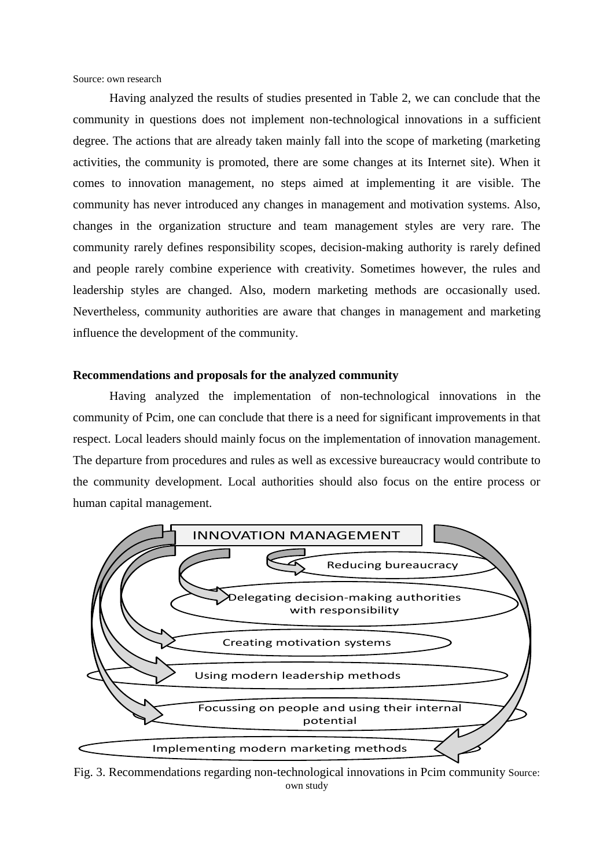Source: own research

Having analyzed the results of studies presented in Table 2, we can conclude that the community in questions does not implement non-technological innovations in a sufficient degree. The actions that are already taken mainly fall into the scope of marketing (marketing activities, the community is promoted, there are some changes at its Internet site). When it comes to innovation management, no steps aimed at implementing it are visible. The community has never introduced any changes in management and motivation systems. Also, changes in the organization structure and team management styles are very rare. The community rarely defines responsibility scopes, decision-making authority is rarely defined and people rarely combine experience with creativity. Sometimes however, the rules and leadership styles are changed. Also, modern marketing methods are occasionally used. Nevertheless, community authorities are aware that changes in management and marketing influence the development of the community.

#### **Recommendations and proposals for the analyzed community**

Having analyzed the implementation of non-technological innovations in the community of Pcim, one can conclude that there is a need for significant improvements in that respect. Local leaders should mainly focus on the implementation of innovation management. The departure from procedures and rules as well as excessive bureaucracy would contribute to the community development. Local authorities should also focus on the entire process or human capital management.



Fig. 3. Recommendations regarding non-technological innovations in Pcim community Source: own study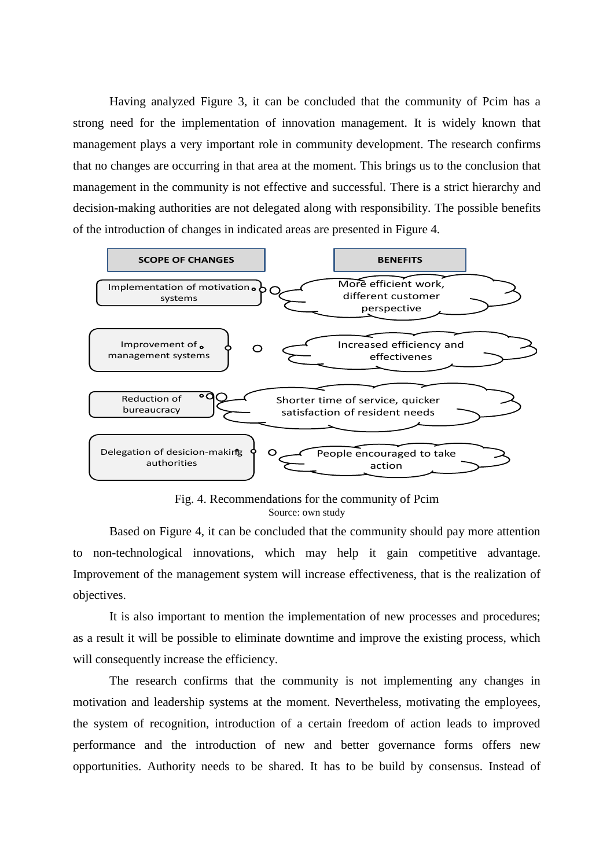Having analyzed Figure 3, it can be concluded that the community of Pcim has a strong need for the implementation of innovation management. It is widely known that management plays a very important role in community development. The research confirms that no changes are occurring in that area at the moment. This brings us to the conclusion that management in the community is not effective and successful. There is a strict hierarchy and decision-making authorities are not delegated along with responsibility. The possible benefits of the introduction of changes in indicated areas are presented in Figure 4.



Fig. 4. Recommendations for the community of Pcim Source: own study

Based on Figure 4, it can be concluded that the community should pay more attention to non-technological innovations, which may help it gain competitive advantage. Improvement of the management system will increase effectiveness, that is the realization of objectives.

It is also important to mention the implementation of new processes and procedures; as a result it will be possible to eliminate downtime and improve the existing process, which will consequently increase the efficiency.

The research confirms that the community is not implementing any changes in motivation and leadership systems at the moment. Nevertheless, motivating the employees, the system of recognition, introduction of a certain freedom of action leads to improved performance and the introduction of new and better governance forms offers new opportunities. Authority needs to be shared. It has to be build by consensus. Instead of